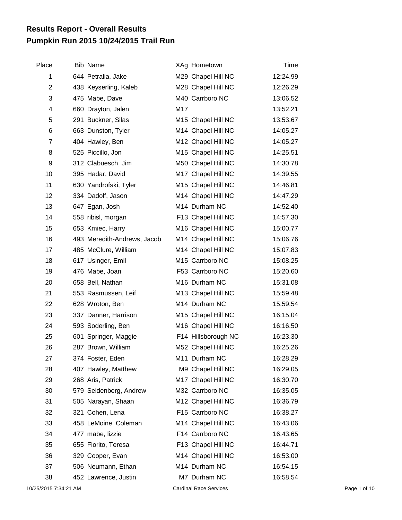## **Pumpkin Run 2015 10/24/2015 Trail Run Results Report - Overall Results**

| Place          | Bib Name                    |     | XAg Hometown        | Time     |
|----------------|-----------------------------|-----|---------------------|----------|
| 1              | 644 Petralia, Jake          |     | M29 Chapel Hill NC  | 12:24.99 |
| $\overline{c}$ | 438 Keyserling, Kaleb       |     | M28 Chapel Hill NC  | 12:26.29 |
| 3              | 475 Mabe, Dave              |     | M40 Carrboro NC     | 13:06.52 |
| 4              | 660 Drayton, Jalen          | M17 |                     | 13:52.21 |
| 5              | 291 Buckner, Silas          |     | M15 Chapel Hill NC  | 13:53.67 |
| 6              | 663 Dunston, Tyler          |     | M14 Chapel Hill NC  | 14:05.27 |
| $\overline{7}$ | 404 Hawley, Ben             |     | M12 Chapel Hill NC  | 14:05.27 |
| 8              | 525 Piccillo, Jon           |     | M15 Chapel Hill NC  | 14:25.51 |
| 9              | 312 Clabuesch, Jim          |     | M50 Chapel Hill NC  | 14:30.78 |
| 10             | 395 Hadar, David            |     | M17 Chapel Hill NC  | 14:39.55 |
| 11             | 630 Yandrofski, Tyler       |     | M15 Chapel Hill NC  | 14:46.81 |
| 12             | 334 Dadolf, Jason           |     | M14 Chapel Hill NC  | 14:47.29 |
| 13             | 647 Egan, Josh              |     | M14 Durham NC       | 14:52.40 |
| 14             | 558 ribisl, morgan          |     | F13 Chapel Hill NC  | 14:57.30 |
| 15             | 653 Kmiec, Harry            |     | M16 Chapel Hill NC  | 15:00.77 |
| 16             | 493 Meredith-Andrews, Jacob |     | M14 Chapel Hill NC  | 15:06.76 |
| 17             | 485 McClure, William        |     | M14 Chapel Hill NC  | 15:07.83 |
| 18             | 617 Usinger, Emil           |     | M15 Carrboro NC     | 15:08.25 |
| 19             | 476 Mabe, Joan              |     | F53 Carrboro NC     | 15:20.60 |
| 20             | 658 Bell, Nathan            |     | M16 Durham NC       | 15:31.08 |
| 21             | 553 Rasmussen, Leif         |     | M13 Chapel Hill NC  | 15:59.48 |
| 22             | 628 Wroton, Ben             |     | M14 Durham NC       | 15:59.54 |
| 23             | 337 Danner, Harrison        |     | M15 Chapel Hill NC  | 16:15.04 |
| 24             | 593 Soderling, Ben          |     | M16 Chapel Hill NC  | 16:16.50 |
| 25             | 601 Springer, Maggie        |     | F14 Hillsborough NC | 16:23.30 |
| 26             | 287 Brown, William          |     | M52 Chapel Hill NC  | 16:25.26 |
| 27             | 374 Foster, Eden            |     | M11 Durham NC       | 16:28.29 |
| 28             | 407 Hawley, Matthew         |     | M9 Chapel Hill NC   | 16:29.05 |
| 29             | 268 Aris, Patrick           |     | M17 Chapel Hill NC  | 16:30.70 |
| 30             | 579 Seidenberg, Andrew      |     | M32 Carrboro NC     | 16:35.05 |
| 31             | 505 Narayan, Shaan          |     | M12 Chapel Hill NC  | 16:36.79 |
| 32             | 321 Cohen, Lena             |     | F15 Carrboro NC     | 16:38.27 |
| 33             | 458 LeMoine, Coleman        |     | M14 Chapel Hill NC  | 16:43.06 |
| 34             | 477 mabe, lizzie            |     | F14 Carrboro NC     | 16:43.65 |
| 35             | 655 Fiorito, Teresa         |     | F13 Chapel Hill NC  | 16:44.71 |
| 36             | 329 Cooper, Evan            |     | M14 Chapel Hill NC  | 16:53.00 |
| 37             | 506 Neumann, Ethan          |     | M14 Durham NC       | 16:54.15 |
| 38             | 452 Lawrence, Justin        |     | M7 Durham NC        | 16:58.54 |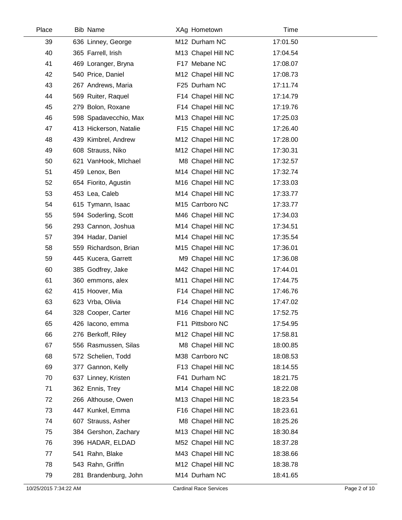| Place | <b>Bib Name</b>        | XAg Hometown       | Time     |  |
|-------|------------------------|--------------------|----------|--|
| 39    | 636 Linney, George     | M12 Durham NC      | 17:01.50 |  |
| 40    | 365 Farrell, Irish     | M13 Chapel Hill NC | 17:04.54 |  |
| 41    | 469 Loranger, Bryna    | F17 Mebane NC      | 17:08.07 |  |
| 42    | 540 Price, Daniel      | M12 Chapel Hill NC | 17:08.73 |  |
| 43    | 267 Andrews, Maria     | F25 Durham NC      | 17:11.74 |  |
| 44    | 569 Ruiter, Raquel     | F14 Chapel Hill NC | 17:14.79 |  |
| 45    | 279 Bolon, Roxane      | F14 Chapel Hill NC | 17:19.76 |  |
| 46    | 598 Spadavecchio, Max  | M13 Chapel Hill NC | 17:25.03 |  |
| 47    | 413 Hickerson, Natalie | F15 Chapel Hill NC | 17:26.40 |  |
| 48    | 439 Kimbrel, Andrew    | M12 Chapel Hill NC | 17:28.00 |  |
| 49    | 608 Strauss, Niko      | M12 Chapel Hill NC | 17:30.31 |  |
| 50    | 621 VanHook, Michael   | M8 Chapel Hill NC  | 17:32.57 |  |
| 51    | 459 Lenox, Ben         | M14 Chapel Hill NC | 17:32.74 |  |
| 52    | 654 Fiorito, Agustin   | M16 Chapel Hill NC | 17:33.03 |  |
| 53    | 453 Lea, Caleb         | M14 Chapel Hill NC | 17:33.77 |  |
| 54    | 615 Tymann, Isaac      | M15 Carrboro NC    | 17:33.77 |  |
| 55    | 594 Soderling, Scott   | M46 Chapel Hill NC | 17:34.03 |  |
| 56    | 293 Cannon, Joshua     | M14 Chapel Hill NC | 17:34.51 |  |
| 57    | 394 Hadar, Daniel      | M14 Chapel Hill NC | 17:35.54 |  |
| 58    | 559 Richardson, Brian  | M15 Chapel Hill NC | 17:36.01 |  |
| 59    | 445 Kucera, Garrett    | M9 Chapel Hill NC  | 17:36.08 |  |
| 60    | 385 Godfrey, Jake      | M42 Chapel Hill NC | 17:44.01 |  |
| 61    | 360 emmons, alex       | M11 Chapel Hill NC | 17:44.75 |  |
| 62    | 415 Hoover, Mia        | F14 Chapel Hill NC | 17:46.76 |  |
| 63    | 623 Vrba, Olivia       | F14 Chapel Hill NC | 17:47.02 |  |
| 64    | 328 Cooper, Carter     | M16 Chapel Hill NC | 17:52.75 |  |
| 65    | 426 lacono, emma       | F11 Pittsboro NC   | 17:54.95 |  |
| 66    | 276 Berkoff, Riley     | M12 Chapel Hill NC | 17:58.81 |  |
| 67    | 556 Rasmussen, Silas   | M8 Chapel Hill NC  | 18:00.85 |  |
| 68    | 572 Schelien, Todd     | M38 Carrboro NC    | 18:08.53 |  |
| 69    | 377 Gannon, Kelly      | F13 Chapel Hill NC | 18:14.55 |  |
| 70    | 637 Linney, Kristen    | F41 Durham NC      | 18:21.75 |  |
| 71    | 362 Ennis, Trey        | M14 Chapel Hill NC | 18:22.08 |  |
| 72    | 266 Althouse, Owen     | M13 Chapel Hill NC | 18:23.54 |  |
| 73    | 447 Kunkel, Emma       | F16 Chapel Hill NC | 18:23.61 |  |
| 74    | 607 Strauss, Asher     | M8 Chapel Hill NC  | 18:25.26 |  |
| 75    | 384 Gershon, Zachary   | M13 Chapel Hill NC | 18:30.84 |  |
| 76    | 396 HADAR, ELDAD       | M52 Chapel Hill NC | 18:37.28 |  |
| 77    | 541 Rahn, Blake        | M43 Chapel Hill NC | 18:38.66 |  |
| 78    | 543 Rahn, Griffin      | M12 Chapel Hill NC | 18:38.78 |  |
| 79    | 281 Brandenburg, John  | M14 Durham NC      | 18:41.65 |  |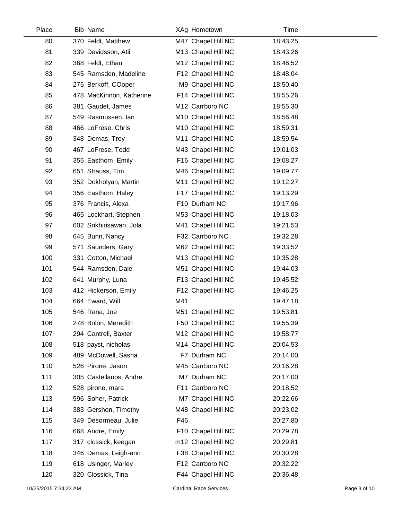| Place | <b>Bib Name</b>          | XAg Hometown       | Time     |  |
|-------|--------------------------|--------------------|----------|--|
| 80    | 370 Feldt, Matthew       | M47 Chapel Hill NC | 18:43.25 |  |
| 81    | 339 Davidsson, Atli      | M13 Chapel Hill NC | 18:43.26 |  |
| 82    | 368 Feldt, Ethan         | M12 Chapel Hill NC | 18:46.52 |  |
| 83    | 545 Ramsden, Madeline    | F12 Chapel Hill NC | 18:48.04 |  |
| 84    | 275 Berkoff, COoper      | M9 Chapel Hill NC  | 18:50.40 |  |
| 85    | 478 MacKinnon, Katherine | F14 Chapel Hill NC | 18:55.26 |  |
| 86    | 381 Gaudet, James        | M12 Carrboro NC    | 18:55.30 |  |
| 87    | 549 Rasmussen, lan       | M10 Chapel Hill NC | 18:56.48 |  |
| 88    | 466 LoFrese, Chris       | M10 Chapel Hill NC | 18:59.31 |  |
| 89    | 348 Demas, Trey          | M11 Chapel Hill NC | 18:59.54 |  |
| 90    | 467 LoFrese, Todd        | M43 Chapel Hill NC | 19:01.03 |  |
| 91    | 355 Easthom, Emily       | F16 Chapel Hill NC | 19:08.27 |  |
| 92    | 651 Strauss, Tim         | M46 Chapel Hill NC | 19:09.77 |  |
| 93    | 352 Dokholyan, Martin    | M11 Chapel Hill NC | 19:12.27 |  |
| 94    | 356 Easthom, Haley       | F17 Chapel Hill NC | 19:13.29 |  |
| 95    | 376 Francis, Alexa       | F10 Durham NC      | 19:17.96 |  |
| 96    | 465 Lockhart, Stephen    | M53 Chapel Hill NC | 19:18.03 |  |
| 97    | 602 Srikhirisawan, Jola  | M41 Chapel Hill NC | 19:21.53 |  |
| 98    | 645 Bunn, Nancy          | F32 Carrboro NC    | 19:32.28 |  |
| 99    | 571 Saunders, Gary       | M62 Chapel Hill NC | 19:33.52 |  |
| 100   | 331 Cotton, Michael      | M13 Chapel Hill NC | 19:35.28 |  |
| 101   | 544 Ramsden, Dale        | M51 Chapel Hill NC | 19:44.03 |  |
| 102   | 641 Murphy, Luna         | F13 Chapel Hill NC | 19:45.52 |  |
| 103   | 412 Hickerson, Emily     | F12 Chapel Hill NC | 19:46.25 |  |
| 104   | 664 Eward, Will          | M41                | 19:47.18 |  |
| 105   | 546 Rana, Joe            | M51 Chapel Hill NC | 19:53.81 |  |
| 106   | 278 Bolon, Meredith      | F50 Chapel Hill NC | 19:55.39 |  |
| 107   | 294 Cantrell, Baxter     | M12 Chapel Hill NC | 19:58.77 |  |
| 108   | 518 payst, nicholas      | M14 Chapel Hill NC | 20:04.53 |  |
| 109   | 489 McDowell, Sasha      | F7 Durham NC       | 20:14.00 |  |
| 110   | 526 Pirone, Jason        | M45 Carrboro NC    | 20:16.28 |  |
| 111   | 305 Castellanos, Andre   | M7 Durham NC       | 20:17.00 |  |
| 112   | 528 pirone, mara         | F11 Carrboro NC    | 20:18.52 |  |
| 113   | 596 Soher, Patrick       | M7 Chapel Hill NC  | 20:22.66 |  |
| 114   | 383 Gershon, Timothy     | M48 Chapel Hill NC | 20:23.02 |  |
| 115   | 349 Desormeau, Julie     | F46                | 20:27.80 |  |
| 116   | 668 Andre, Emily         | F10 Chapel Hill NC | 20:29.78 |  |
| 117   | 317 clossick, keegan     | m12 Chapel Hill NC | 20:29.81 |  |
| 118   | 346 Demas, Leigh-ann     | F38 Chapel Hill NC | 20:30.28 |  |
| 119   | 618 Usinger, Marley      | F12 Carrboro NC    | 20:32.22 |  |
| 120   | 320 Clossick, Tina       | F44 Chapel Hill NC | 20:36.48 |  |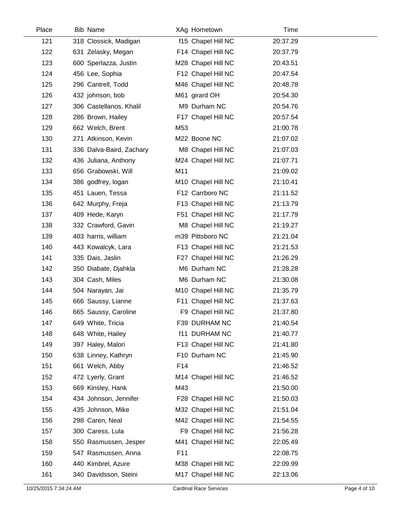| Place | <b>Bib Name</b>          | XAg Hometown       | Time     |
|-------|--------------------------|--------------------|----------|
| 121   | 318 Clossick, Madigan    | f15 Chapel Hill NC | 20:37.29 |
| 122   | 631 Zelasky, Megan       | F14 Chapel Hill NC | 20:37.79 |
| 123   | 600 Sperlazza, Justin    | M28 Chapel Hill NC | 20:43.51 |
| 124   | 456 Lee, Sophia          | F12 Chapel Hill NC | 20:47.54 |
| 125   | 296 Cantrell, Todd       | M46 Chapel Hill NC | 20:48.78 |
| 126   | 432 johnson, bob         | M61 girard OH      | 20:54.30 |
| 127   | 306 Castellanos, Khalil  | M9 Durham NC       | 20:54.76 |
| 128   | 286 Brown, Hailey        | F17 Chapel Hill NC | 20:57.54 |
| 129   | 662 Welch, Brent         | M53                | 21:00.78 |
| 130   | 271 Atkinson, Kevin      | M22 Boone NC       | 21:07.02 |
| 131   | 336 Dalva-Baird, Zachary | M8 Chapel Hill NC  | 21:07.03 |
| 132   | 436 Juliana, Anthony     | M24 Chapel Hill NC | 21:07.71 |
| 133   | 656 Grabowski, Will      | M11                | 21:09.02 |
| 134   | 386 godfrey, logan       | M10 Chapel Hill NC | 21:10.41 |
| 135   | 451 Lauen, Tessa         | F12 Carrboro NC    | 21:11.52 |
| 136   | 642 Murphy, Freja        | F13 Chapel Hill NC | 21:13.79 |
| 137   | 409 Hede, Karyn          | F51 Chapel Hill NC | 21:17.79 |
| 138   | 332 Crawford, Gavin      | M8 Chapel Hill NC  | 21:19.27 |
| 139   | 403 harris, william      | m39 Pittsboro NC   | 21:21.04 |
| 140   | 443 Kowalcyk, Lara       | F13 Chapel Hill NC | 21:21.53 |
| 141   | 335 Dais, Jaslin         | F27 Chapel Hill NC | 21:26.29 |
| 142   | 350 Diabate, Djahkla     | M6 Durham NC       | 21:28.28 |
| 143   | 304 Cash, Miles          | M6 Durham NC       | 21:30.08 |
| 144   | 504 Narayan, Jai         | M10 Chapel Hill NC | 21:35.79 |
| 145   | 666 Saussy, Lianne       | F11 Chapel Hill NC | 21:37.63 |
| 146   | 665 Saussy, Caroline     | F9 Chapel Hill NC  | 21:37.80 |
| 147   | 649 White, Tricia        | F39 DURHAM NC      | 21:40.54 |
| 148   | 648 White, Hailey        | f11 DURHAM NC      | 21:40.77 |
| 149   | 397 Haley, Malori        | F13 Chapel Hill NC | 21:41.80 |
| 150   | 638 Linney, Kathryn      | F10 Durham NC      | 21:45.90 |
| 151   | 661 Welch, Abby          | F14                | 21:46.52 |
| 152   | 472 Lyerly, Grant        | M14 Chapel Hill NC | 21:46.52 |
| 153   | 669 Kinsley, Hank        | M43                | 21:50.00 |
| 154   | 434 Johnson, Jennifer    | F28 Chapel Hill NC | 21:50.03 |
| 155   | 435 Johnson, Mike        | M32 Chapel Hill NC | 21:51.04 |
| 156   | 298 Caren, Neal          | M42 Chapel Hill NC | 21:54.55 |
| 157   | 300 Caress, Lula         | F9 Chapel Hill NC  | 21:56.28 |
| 158   | 550 Rasmussen, Jesper    | M41 Chapel Hill NC | 22:05.49 |
| 159   | 547 Rasmussen, Anna      | F11                | 22:08.75 |
| 160   | 440 Kimbrel, Azure       | M38 Chapel Hill NC | 22:09.99 |
| 161   | 340 Davidsson, Steini    | M17 Chapel Hill NC | 22:13.06 |
|       |                          |                    |          |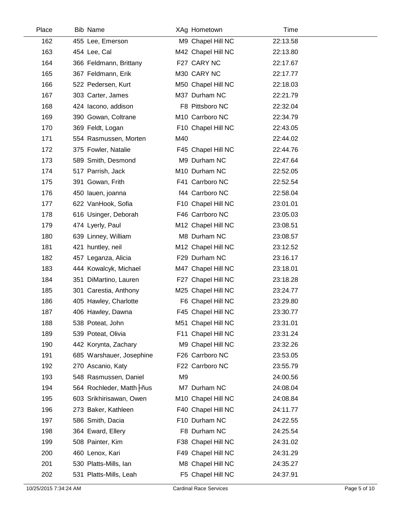| Place | <b>Bib Name</b>           |     | XAg Hometown       | Time     |  |
|-------|---------------------------|-----|--------------------|----------|--|
| 162   | 455 Lee, Emerson          |     | M9 Chapel Hill NC  | 22:13.58 |  |
| 163   | 454 Lee, Cal              |     | M42 Chapel Hill NC | 22:13.80 |  |
| 164   | 366 Feldmann, Brittany    |     | F27 CARY NC        | 22:17.67 |  |
| 165   | 367 Feldmann, Erik        |     | M30 CARY NC        | 22:17.77 |  |
| 166   | 522 Pedersen, Kurt        |     | M50 Chapel Hill NC | 22:18.03 |  |
| 167   | 303 Carter, James         |     | M37 Durham NC      | 22:21.79 |  |
| 168   | 424 Iacono, addison       |     | F8 Pittsboro NC    | 22:32.04 |  |
| 169   | 390 Gowan, Coltrane       |     | M10 Carrboro NC    | 22:34.79 |  |
| 170   | 369 Feldt, Logan          |     | F10 Chapel Hill NC | 22:43.05 |  |
| 171   | 554 Rasmussen, Morten     | M40 |                    | 22:44.02 |  |
| 172   | 375 Fowler, Natalie       |     | F45 Chapel Hill NC | 22:44.76 |  |
| 173   | 589 Smith, Desmond        |     | M9 Durham NC       | 22:47.64 |  |
| 174   | 517 Parrish, Jack         |     | M10 Durham NC      | 22:52.05 |  |
| 175   | 391 Gowan, Frith          |     | F41 Carrboro NC    | 22:52.54 |  |
| 176   | 450 lauen, joanna         |     | f44 Carrboro NC    | 22:58.04 |  |
| 177   | 622 VanHook, Sofia        |     | F10 Chapel Hill NC | 23:01.01 |  |
| 178   | 616 Usinger, Deborah      |     | F46 Carrboro NC    | 23:05.03 |  |
| 179   | 474 Lyerly, Paul          |     | M12 Chapel Hill NC | 23:08.51 |  |
| 180   | 639 Linney, William       |     | M8 Durham NC       | 23:08.57 |  |
| 181   | 421 huntley, neil         |     | M12 Chapel Hill NC | 23:12.52 |  |
| 182   | 457 Leganza, Alicia       |     | F29 Durham NC      | 23:16.17 |  |
| 183   | 444 Kowalcyk, Michael     |     | M47 Chapel Hill NC | 23:18.01 |  |
| 184   | 351 DiMartino, Lauren     |     | F27 Chapel Hill NC | 23:18.28 |  |
| 185   | 301 Carestia, Anthony     |     | M25 Chapel Hill NC | 23:24.77 |  |
| 186   | 405 Hawley, Charlotte     |     | F6 Chapel Hill NC  | 23:29.80 |  |
| 187   | 406 Hawley, Dawna         |     | F45 Chapel Hill NC | 23:30.77 |  |
| 188   | 538 Poteat, John          |     | M51 Chapel Hill NC | 23:31.01 |  |
| 189   | 539 Poteat, Olivia        |     | F11 Chapel Hill NC | 23:31.24 |  |
| 190   | 442 Korynta, Zachary      |     | M9 Chapel Hill NC  | 23:32.26 |  |
| 191   | 685 Warshauer, Josephine  |     | F26 Carrboro NC    | 23:53.05 |  |
| 192   | 270 Ascanio, Katy         |     | F22 Carrboro NC    | 23:55.79 |  |
| 193   | 548 Rasmussen, Daniel     | M9  |                    | 24:00.56 |  |
| 194   | 564 Rochleder, Matth -nus |     | M7 Durham NC       | 24:08.04 |  |
| 195   | 603 Srikhirisawan, Owen   |     | M10 Chapel Hill NC | 24:08.84 |  |
| 196   | 273 Baker, Kathleen       |     | F40 Chapel Hill NC | 24:11.77 |  |
| 197   | 586 Smith, Dacia          |     | F10 Durham NC      | 24:22.55 |  |
| 198   | 364 Eward, Ellery         |     | F8 Durham NC       | 24:25.54 |  |
| 199   | 508 Painter, Kim          |     | F38 Chapel Hill NC | 24:31.02 |  |
| 200   | 460 Lenox, Kari           |     | F49 Chapel Hill NC | 24:31.29 |  |
| 201   | 530 Platts-Mills, Ian     |     | M8 Chapel Hill NC  | 24:35.27 |  |
| 202   | 531 Platts-Mills, Leah    |     | F5 Chapel Hill NC  | 24:37.91 |  |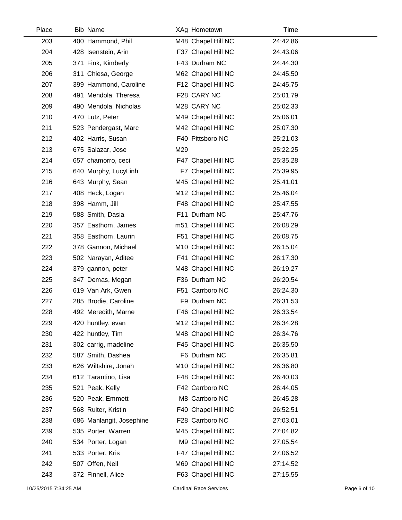| Place | <b>Bib Name</b>          | XAg Hometown       | Time     |  |
|-------|--------------------------|--------------------|----------|--|
| 203   | 400 Hammond, Phil        | M48 Chapel Hill NC | 24:42.86 |  |
| 204   | 428 Isenstein, Arin      | F37 Chapel Hill NC | 24:43.06 |  |
| 205   | 371 Fink, Kimberly       | F43 Durham NC      | 24:44.30 |  |
| 206   | 311 Chiesa, George       | M62 Chapel Hill NC | 24:45.50 |  |
| 207   | 399 Hammond, Caroline    | F12 Chapel Hill NC | 24:45.75 |  |
| 208   | 491 Mendola, Theresa     | F28 CARY NC        | 25:01.79 |  |
| 209   | 490 Mendola, Nicholas    | M28 CARY NC        | 25:02.33 |  |
| 210   | 470 Lutz, Peter          | M49 Chapel Hill NC | 25:06.01 |  |
| 211   | 523 Pendergast, Marc     | M42 Chapel Hill NC | 25:07.30 |  |
| 212   | 402 Harris, Susan        | F40 Pittsboro NC   | 25:21.03 |  |
| 213   | 675 Salazar, Jose        | M29                | 25:22.25 |  |
| 214   | 657 chamorro, ceci       | F47 Chapel Hill NC | 25:35.28 |  |
| 215   | 640 Murphy, LucyLinh     | F7 Chapel Hill NC  | 25:39.95 |  |
| 216   | 643 Murphy, Sean         | M45 Chapel Hill NC | 25:41.01 |  |
| 217   | 408 Heck, Logan          | M12 Chapel Hill NC | 25:46.04 |  |
| 218   | 398 Hamm, Jill           | F48 Chapel Hill NC | 25:47.55 |  |
| 219   | 588 Smith, Dasia         | F11 Durham NC      | 25:47.76 |  |
| 220   | 357 Easthom, James       | m51 Chapel Hill NC | 26:08.29 |  |
| 221   | 358 Easthom, Laurin      | F51 Chapel Hill NC | 26:08.75 |  |
| 222   | 378 Gannon, Michael      | M10 Chapel Hill NC | 26:15.04 |  |
| 223   | 502 Narayan, Aditee      | F41 Chapel Hill NC | 26:17.30 |  |
| 224   | 379 gannon, peter        | M48 Chapel Hill NC | 26:19.27 |  |
| 225   | 347 Demas, Megan         | F36 Durham NC      | 26:20.54 |  |
| 226   | 619 Van Ark, Gwen        | F51 Carrboro NC    | 26:24.30 |  |
| 227   | 285 Brodie, Caroline     | F9 Durham NC       | 26:31.53 |  |
| 228   | 492 Meredith, Marne      | F46 Chapel Hill NC | 26:33.54 |  |
| 229   | 420 huntley, evan        | M12 Chapel Hill NC | 26:34.28 |  |
| 230   | 422 huntley, Tim         | M48 Chapel Hill NC | 26:34.76 |  |
| 231   | 302 carrig, madeline     | F45 Chapel Hill NC | 26:35.50 |  |
| 232   | 587 Smith, Dashea        | F6 Durham NC       | 26:35.81 |  |
| 233   | 626 Wiltshire, Jonah     | M10 Chapel Hill NC | 26:36.80 |  |
| 234   | 612 Tarantino, Lisa      | F48 Chapel Hill NC | 26:40.03 |  |
| 235   | 521 Peak, Kelly          | F42 Carrboro NC    | 26:44.05 |  |
| 236   | 520 Peak, Emmett         | M8 Carrboro NC     | 26:45.28 |  |
| 237   | 568 Ruiter, Kristin      | F40 Chapel Hill NC | 26:52.51 |  |
| 238   | 686 Manlangit, Josephine | F28 Carrboro NC    | 27:03.01 |  |
| 239   | 535 Porter, Warren       | M45 Chapel Hill NC | 27:04.82 |  |
| 240   | 534 Porter, Logan        | M9 Chapel Hill NC  | 27:05.54 |  |
| 241   | 533 Porter, Kris         | F47 Chapel Hill NC | 27:06.52 |  |
| 242   | 507 Offen, Neil          | M69 Chapel Hill NC | 27:14.52 |  |
| 243   | 372 Finnell, Alice       | F63 Chapel Hill NC | 27:15.55 |  |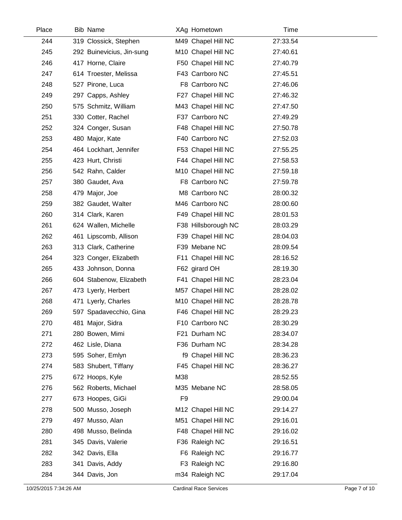| Place | <b>Bib Name</b>           |                | XAg Hometown        | Time     |
|-------|---------------------------|----------------|---------------------|----------|
| 244   | 319 Clossick, Stephen     |                | M49 Chapel Hill NC  | 27:33.54 |
| 245   | 292 Buinevicius, Jin-sung |                | M10 Chapel Hill NC  | 27:40.61 |
| 246   | 417 Horne, Claire         |                | F50 Chapel Hill NC  | 27:40.79 |
| 247   | 614 Troester, Melissa     |                | F43 Carrboro NC     | 27:45.51 |
| 248   | 527 Pirone, Luca          |                | F8 Carrboro NC      | 27:46.06 |
| 249   | 297 Capps, Ashley         |                | F27 Chapel Hill NC  | 27:46.32 |
| 250   | 575 Schmitz, William      |                | M43 Chapel Hill NC  | 27:47.50 |
| 251   | 330 Cotter, Rachel        |                | F37 Carrboro NC     | 27:49.29 |
| 252   | 324 Conger, Susan         |                | F48 Chapel Hill NC  | 27:50.78 |
| 253   | 480 Major, Kate           |                | F40 Carrboro NC     | 27:52.03 |
| 254   | 464 Lockhart, Jennifer    |                | F53 Chapel Hill NC  | 27:55.25 |
| 255   | 423 Hurt, Christi         |                | F44 Chapel Hill NC  | 27:58.53 |
| 256   | 542 Rahn, Calder          |                | M10 Chapel Hill NC  | 27:59.18 |
| 257   | 380 Gaudet, Ava           |                | F8 Carrboro NC      | 27:59.78 |
| 258   | 479 Major, Joe            |                | M8 Carrboro NC      | 28:00.32 |
| 259   | 382 Gaudet, Walter        |                | M46 Carrboro NC     | 28:00.60 |
| 260   | 314 Clark, Karen          |                | F49 Chapel Hill NC  | 28:01.53 |
| 261   | 624 Wallen, Michelle      |                | F38 Hillsborough NC | 28:03.29 |
| 262   | 461 Lipscomb, Allison     |                | F39 Chapel Hill NC  | 28:04.03 |
| 263   | 313 Clark, Catherine      |                | F39 Mebane NC       | 28:09.54 |
| 264   | 323 Conger, Elizabeth     |                | F11 Chapel Hill NC  | 28:16.52 |
| 265   | 433 Johnson, Donna        |                | F62 girard OH       | 28:19.30 |
| 266   | 604 Stabenow, Elizabeth   |                | F41 Chapel Hill NC  | 28:23.04 |
| 267   | 473 Lyerly, Herbert       |                | M57 Chapel Hill NC  | 28:28.02 |
| 268   | 471 Lyerly, Charles       |                | M10 Chapel Hill NC  | 28:28.78 |
| 269   | 597 Spadavecchio, Gina    |                | F46 Chapel Hill NC  | 28:29.23 |
| 270   | 481 Major, Sidra          |                | F10 Carrboro NC     | 28:30.29 |
| 271   | 280 Bowen, Mimi           |                | F21 Durham NC       | 28:34.07 |
| 272   | 462 Lisle, Diana          |                | F36 Durham NC       | 28:34.28 |
| 273   | 595 Soher, Emlyn          |                | f9 Chapel Hill NC   | 28:36.23 |
| 274   | 583 Shubert, Tiffany      |                | F45 Chapel Hill NC  | 28:36.27 |
| 275   | 672 Hoops, Kyle           | M38            |                     | 28:52.55 |
| 276   | 562 Roberts, Michael      |                | M35 Mebane NC       | 28:58.05 |
| 277   | 673 Hoopes, GiGi          | F <sub>9</sub> |                     | 29:00.04 |
| 278   | 500 Musso, Joseph         |                | M12 Chapel Hill NC  | 29:14.27 |
| 279   | 497 Musso, Alan           |                | M51 Chapel Hill NC  | 29:16.01 |
| 280   | 498 Musso, Belinda        |                | F48 Chapel Hill NC  | 29:16.02 |
| 281   | 345 Davis, Valerie        |                | F36 Raleigh NC      | 29:16.51 |
| 282   | 342 Davis, Ella           |                | F6 Raleigh NC       | 29:16.77 |
| 283   | 341 Davis, Addy           |                | F3 Raleigh NC       | 29:16.80 |
| 284   | 344 Davis, Jon            |                | m34 Raleigh NC      | 29:17.04 |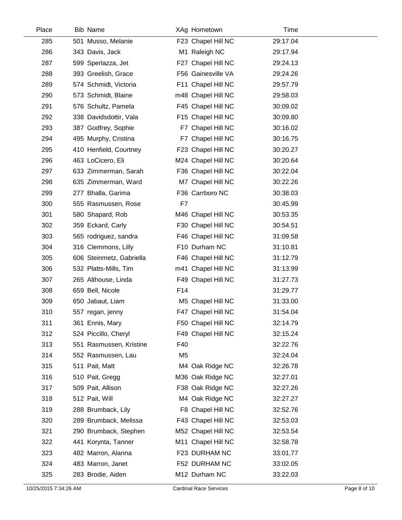| Place | <b>Bib Name</b>          | XAg Hometown       | Time     |  |
|-------|--------------------------|--------------------|----------|--|
| 285   | 501 Musso, Melanie       | F23 Chapel Hill NC | 29:17.04 |  |
| 286   | 343 Davis, Jack          | M1 Raleigh NC      | 29:17.94 |  |
| 287   | 599 Sperlazza, Jet       | F27 Chapel Hill NC | 29:24.13 |  |
| 288   | 393 Greelish, Grace      | F56 Gainesville VA | 29:24.26 |  |
| 289   | 574 Schmidt, Victoria    | F11 Chapel Hill NC | 29:57.79 |  |
| 290   | 573 Schmidt, Blaine      | m48 Chapel Hill NC | 29:58.03 |  |
| 291   | 576 Schultz, Pamela      | F45 Chapel Hill NC | 30:09.02 |  |
| 292   | 338 Davidsdottir, Vala   | F15 Chapel Hill NC | 30:09.80 |  |
| 293   | 387 Godfrey, Sophie      | F7 Chapel Hill NC  | 30:16.02 |  |
| 294   | 495 Murphy, Cristina     | F7 Chapel Hill NC  | 30:16.75 |  |
| 295   | 410 Henfield, Courtney   | F23 Chapel Hill NC | 30:20.27 |  |
| 296   | 463 LoCicero, Eli        | M24 Chapel Hill NC | 30:20.64 |  |
| 297   | 633 Zimmerman, Sarah     | F36 Chapel Hill NC | 30:22.04 |  |
| 298   | 635 Zimmerman, Ward      | M7 Chapel Hill NC  | 30:22.26 |  |
| 299   | 277 Bhalla, Garima       | F36 Carrboro NC    | 30:38.03 |  |
| 300   | 555 Rasmussen, Rose      | F7                 | 30:45.99 |  |
| 301   | 580 Shapard, Rob         | M46 Chapel Hill NC | 30:53.35 |  |
| 302   | 359 Eckard, Carly        | F30 Chapel Hill NC | 30:54.51 |  |
| 303   | 565 rodriguez, sandra    | F46 Chapel Hill NC | 31:09.58 |  |
| 304   | 316 Clemmons, Lilly      | F10 Durham NC      | 31:10.81 |  |
| 305   | 606 Steinmetz, Gabriella | F46 Chapel Hill NC | 31:12.79 |  |
| 306   | 532 Platts-Mills, Tim    | m41 Chapel Hill NC | 31:13.99 |  |
| 307   | 265 Althouse, Linda      | F49 Chapel Hill NC | 31:27.73 |  |
| 308   | 659 Bell, Nicole         | F14                | 31:29.77 |  |
| 309   | 650 Jabaut, Liam         | M5 Chapel Hill NC  | 31:33.00 |  |
| 310   | 557 regan, jenny         | F47 Chapel Hill NC | 31:54.04 |  |
| 311   | 361 Ennis, Mary          | F50 Chapel Hill NC | 32:14.79 |  |
| 312   | 524 Piccillo, Cheryl     | F49 Chapel Hill NC | 32:15.24 |  |
| 313   | 551 Rasmussen, Kristine  | F40                | 32:22.76 |  |
| 314   | 552 Rasmussen, Lau       | M <sub>5</sub>     | 32:24.04 |  |
| 315   | 511 Pait, Matt           | M4 Oak Ridge NC    | 32:26.78 |  |
| 316   | 510 Pait, Gregg          | M36 Oak Ridge NC   | 32:27.01 |  |
| 317   | 509 Pait, Allison        | F38 Oak Ridge NC   | 32:27.26 |  |
| 318   | 512 Pait, Will           | M4 Oak Ridge NC    | 32:27.27 |  |
| 319   | 288 Brumback, Lily       | F8 Chapel Hill NC  | 32:52.76 |  |
| 320   | 289 Brumback, Melissa    | F43 Chapel Hill NC | 32:53.03 |  |
| 321   | 290 Brumback, Stephen    | M52 Chapel Hill NC | 32:53.54 |  |
| 322   | 441 Korynta, Tanner      | M11 Chapel Hill NC | 32:58.78 |  |
| 323   | 482 Marron, Alanna       | F23 DURHAM NC      | 33:01.77 |  |
| 324   | 483 Marron, Janet        | F52 DURHAM NC      | 33:02.05 |  |
| 325   | 283 Brodie, Aiden        | M12 Durham NC      | 33:22.03 |  |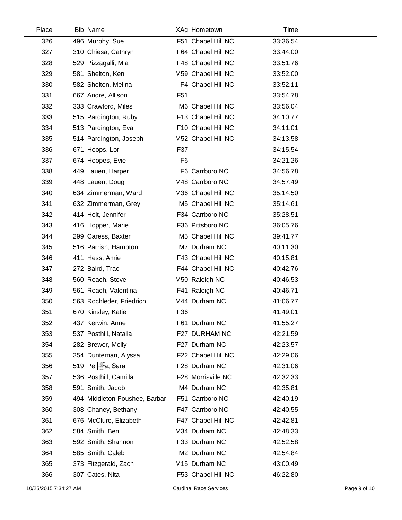| Place | <b>Bib Name</b>               | XAg Hometown       | Time     |  |
|-------|-------------------------------|--------------------|----------|--|
| 326   | 496 Murphy, Sue               | F51 Chapel Hill NC | 33:36.54 |  |
| 327   | 310 Chiesa, Cathryn           | F64 Chapel Hill NC | 33:44.00 |  |
| 328   | 529 Pizzagalli, Mia           | F48 Chapel Hill NC | 33:51.76 |  |
| 329   | 581 Shelton, Ken              | M59 Chapel Hill NC | 33:52.00 |  |
| 330   | 582 Shelton, Melina           | F4 Chapel Hill NC  | 33:52.11 |  |
| 331   | 667 Andre, Allison            | F <sub>51</sub>    | 33:54.78 |  |
| 332   | 333 Crawford, Miles           | M6 Chapel Hill NC  | 33:56.04 |  |
| 333   | 515 Pardington, Ruby          | F13 Chapel Hill NC | 34:10.77 |  |
| 334   | 513 Pardington, Eva           | F10 Chapel Hill NC | 34:11.01 |  |
| 335   | 514 Pardington, Joseph        | M52 Chapel Hill NC | 34:13.58 |  |
| 336   | 671 Hoops, Lori               | F37                | 34:15.54 |  |
| 337   | 674 Hoopes, Evie              | F <sub>6</sub>     | 34:21.26 |  |
| 338   | 449 Lauen, Harper             | F6 Carrboro NC     | 34:56.78 |  |
| 339   | 448 Lauen, Doug               | M48 Carrboro NC    | 34:57.49 |  |
| 340   | 634 Zimmerman, Ward           | M36 Chapel Hill NC | 35:14.50 |  |
| 341   | 632 Zimmerman, Grey           | M5 Chapel Hill NC  | 35:14.61 |  |
| 342   | 414 Holt, Jennifer            | F34 Carrboro NC    | 35:28.51 |  |
| 343   | 416 Hopper, Marie             | F36 Pittsboro NC   | 36:05.76 |  |
| 344   | 299 Caress, Baxter            | M5 Chapel Hill NC  | 39:41.77 |  |
| 345   | 516 Parrish, Hampton          | M7 Durham NC       | 40:11.30 |  |
| 346   | 411 Hess, Amie                | F43 Chapel Hill NC | 40:15.81 |  |
| 347   | 272 Baird, Traci              | F44 Chapel Hill NC | 40:42.76 |  |
| 348   | 560 Roach, Steve              | M50 Raleigh NC     | 40:46.53 |  |
| 349   | 561 Roach, Valentina          | F41 Raleigh NC     | 40:46.71 |  |
| 350   | 563 Rochleder, Friedrich      | M44 Durham NC      | 41:06.77 |  |
| 351   | 670 Kinsley, Katie            | F36                | 41:49.01 |  |
| 352   | 437 Kerwin, Anne              | F61 Durham NC      | 41:55.27 |  |
| 353   | 537 Posthill, Natalia         | F27 DURHAM NC      | 42:21.59 |  |
| 354   | 282 Brewer, Molly             | F27 Durham NC      | 42:23.57 |  |
| 355   | 354 Dunteman, Alyssa          | F22 Chapel Hill NC | 42:29.06 |  |
| 356   | 519 Pe  a, Sara               | F28 Durham NC      | 42:31.06 |  |
| 357   | 536 Posthill, Camilla         | F28 Morrisville NC | 42:32.33 |  |
| 358   | 591 Smith, Jacob              | M4 Durham NC       | 42:35.81 |  |
| 359   | 494 Middleton-Foushee, Barbar | F51 Carrboro NC    | 42:40.19 |  |
| 360   | 308 Chaney, Bethany           | F47 Carrboro NC    | 42:40.55 |  |
| 361   | 676 McClure, Elizabeth        | F47 Chapel Hill NC | 42:42.81 |  |
| 362   | 584 Smith, Ben                | M34 Durham NC      | 42:48.33 |  |
| 363   | 592 Smith, Shannon            | F33 Durham NC      | 42:52.58 |  |
| 364   | 585 Smith, Caleb              | M2 Durham NC       | 42:54.84 |  |
| 365   | 373 Fitzgerald, Zach          | M15 Durham NC      | 43:00.49 |  |
| 366   | 307 Cates, Nita               | F53 Chapel Hill NC | 46:22.80 |  |